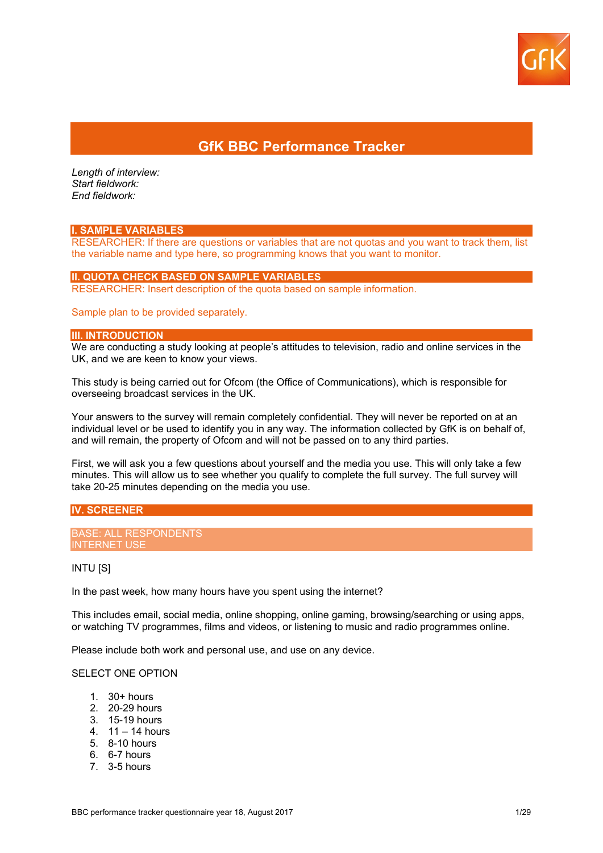

## **GfK BBC Performance Tracker**

*Length of interview: Start fieldwork: End fieldwork:* 

#### **I. SAMPLE VARIABLES**

RESEARCHER: If there are questions or variables that are not quotas and you want to track them, list the variable name and type here, so programming knows that you want to monitor.

#### **II. QUOTA CHECK BASED ON SAMPLE VARIABLES**

RESEARCHER: Insert description of the quota based on sample information.

#### Sample plan to be provided separately.

## **III. INTRODUCTION**

We are conducting a study looking at people's attitudes to television, radio and online services in the UK, and we are keen to know your views.

This study is being carried out for Ofcom (the Office of Communications), which is responsible for overseeing broadcast services in the UK.

Your answers to the survey will remain completely confidential. They will never be reported on at an individual level or be used to identify you in any way. The information collected by GfK is on behalf of, and will remain, the property of Ofcom and will not be passed on to any third parties.

First, we will ask you a few questions about yourself and the media you use. This will only take a few minutes. This will allow us to see whether you qualify to complete the full survey. The full survey will take 20-25 minutes depending on the media you use.

## **IV. SCREENER**

BASE: ALL RESPONDENTS INTERNET USE

#### INTU [S]

In the past week, how many hours have you spent using the internet?

This includes email, social media, online shopping, online gaming, browsing/searching or using apps, or watching TV programmes, films and videos, or listening to music and radio programmes online.

Please include both work and personal use, and use on any device.

#### SELECT ONE OPTION

- 1. 30+ hours
- 2. 20-29 hours
- 3. 15-19 hours
- 4. 11 14 hours
- 5. 8-10 hours
- 6. 6-7 hours
- 7. 3-5 hours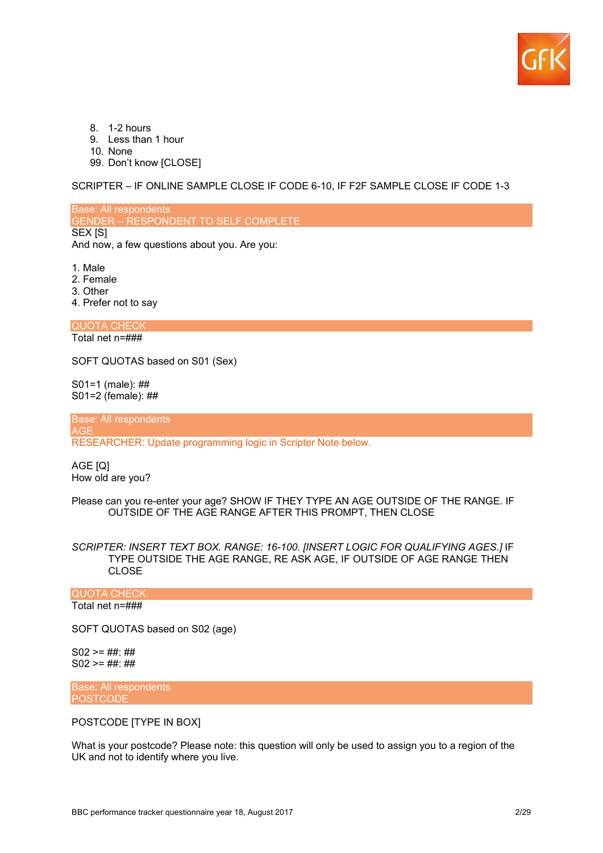

- 8. 1-2 hours
- 9. Less than 1 hour
- 10. None
- 99. Don't know [CLOSE]

SCRIPTER – IF ONLINE SAMPLE CLOSE IF CODE 6-10, IF F2F SAMPLE CLOSE IF CODE 1-3

Base: All respondents GENDER – RESPONDENT TO SELF COMPLETE SEX [S] And now, a few questions about you. Are you:

- 1. Male
- 2. Female
- 3. Other
- 4. Prefer not to say

QUOTA CHECK Total net n=###

SOFT QUOTAS based on S01 (Sex)

S01=1 (male): ## S01=2 (female): ##

Base: All respondents AGE

RESEARCHER: Update programming logic in Scripter Note below.

AGE [Q] How old are you?

Please can you re-enter your age? SHOW IF THEY TYPE AN AGE OUTSIDE OF THE RANGE. IF OUTSIDE OF THE AGE RANGE AFTER THIS PROMPT, THEN CLOSE

*SCRIPTER: INSERT TEXT BOX. RANGE: 16-100. [INSERT LOGIC FOR QUALIFYING AGES.]* IF TYPE OUTSIDE THE AGE RANGE, RE ASK AGE, IF OUTSIDE OF AGE RANGE THEN CLOSE

#### QUOTA CHECK

Total net n=###

SOFT QUOTAS based on S02 (age)

 $S02 >= ### ##$  $S02$  >= ##: ##

Base: All respondents **POSTCODE** 

POSTCODE [TYPE IN BOX]

What is your postcode? Please note: this question will only be used to assign you to a region of the UK and not to identify where you live.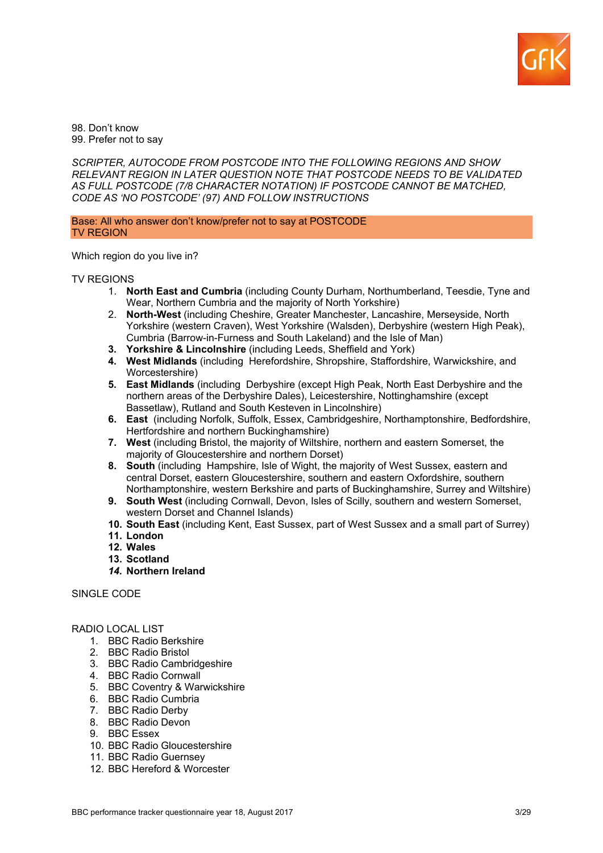

98. Don't know 99. Prefer not to say

*SCRIPTER, AUTOCODE FROM POSTCODE INTO THE FOLLOWING REGIONS AND SHOW RELEVANT REGION IN LATER QUESTION NOTE THAT POSTCODE NEEDS TO BE VALIDATED AS FULL POSTCODE (7/8 CHARACTER NOTATION) IF POSTCODE CANNOT BE MATCHED, CODE AS 'NO POSTCODE' (97) AND FOLLOW INSTRUCTIONS*

Base: All who answer don't know/prefer not to say at POSTCODE TV REGION

Which region do you live in?

#### TV REGIONS

- 1. **North East and Cumbria** (including County Durham, Northumberland, Teesdie, Tyne and Wear, Northern Cumbria and the majority of North Yorkshire)
- 2. **North-West** (including Cheshire, Greater Manchester, Lancashire, Merseyside, North Yorkshire (western Craven), West Yorkshire (Walsden), Derbyshire (western High Peak), Cumbria (Barrow-in-Furness and South Lakeland) and the Isle of Man)
- **3. Yorkshire & Lincolnshire** (including Leeds, Sheffield and York)
- **4. West Midlands** (including Herefordshire, Shropshire, Staffordshire, Warwickshire, and Worcestershire)
- **5. East Midlands** (including Derbyshire (except High Peak, North East Derbyshire and the northern areas of the Derbyshire Dales), Leicestershire, Nottinghamshire (except Bassetlaw), Rutland and South Kesteven in Lincolnshire)
- **6. East** (including Norfolk, Suffolk, Essex, Cambridgeshire, Northamptonshire, Bedfordshire, Hertfordshire and northern Buckinghamshire)
- **7. West** (including Bristol, the majority of Wiltshire, northern and eastern Somerset, the majority of Gloucestershire and northern Dorset)
- **8. South** (including Hampshire, Isle of Wight, the majority of West Sussex, eastern and central Dorset, eastern Gloucestershire, southern and eastern Oxfordshire, southern Northamptonshire, western Berkshire and parts of Buckinghamshire, Surrey and Wiltshire)
- **9. South West** (including Cornwall, Devon, Isles of Scilly, southern and western Somerset, western Dorset and Channel Islands)
- **10. South East** (including Kent, East Sussex, part of West Sussex and a small part of Surrey)
- **11. London**
- **12. Wales**
- **13. Scotland**
- *14.* **Northern Ireland**

## SINGLE CODE

#### RADIO LOCAL LIST

- 1. BBC Radio Berkshire
- 2. BBC Radio Bristol
- 3. BBC Radio Cambridgeshire
- 4. BBC Radio Cornwall
- 5. BBC Coventry & Warwickshire
- 6. BBC Radio Cumbria
- 7. BBC Radio Derby
- 8. BBC Radio Devon
- 9. BBC Essex
- 10. BBC Radio Gloucestershire
- 11. BBC Radio Guernsey
- 12. BBC Hereford & Worcester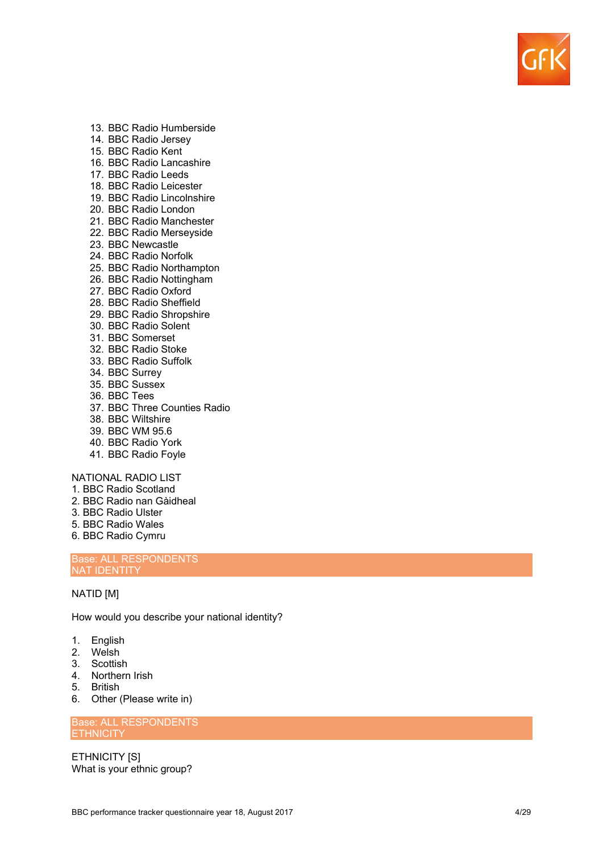

- 13. BBC Radio Humberside
- 14. BBC Radio Jersey
- 15. BBC Radio Kent
- 16. BBC Radio Lancashire
- 17. BBC Radio Leeds
- 18. BBC Radio Leicester
- 19. BBC Radio Lincolnshire
- 20. BBC Radio London
- 21. BBC Radio Manchester
- 22. BBC Radio Merseyside
- 23. BBC Newcastle
- 24. BBC Radio Norfolk
- 25. BBC Radio Northampton
- 26. BBC Radio Nottingham
- 27. BBC Radio Oxford
- 28. BBC Radio Sheffield
- 29. BBC Radio Shropshire
- 30. BBC Radio Solent
- 31. BBC Somerset
- 32. BBC Radio Stoke
- 33. BBC Radio Suffolk
- 34. BBC Surrey
- 35. BBC Sussex
- 36. BBC Tees
- 37. BBC Three Counties Radio
- 38. BBC Wiltshire
- 39. BBC WM 95.6
- 40. BBC Radio York
- 41. BBC Radio Foyle

NATIONAL RADIO LIST

- 1. BBC Radio Scotland
- 2. BBC Radio nan Gàidheal
- 3. BBC Radio Ulster
- 5. BBC Radio Wales
- 6. BBC Radio Cymru

Base: ALL RESPONDENTS NAT IDENTITY

## NATID [ M ]

How would you describe your national identity?

- 1. English
- 2. Welsh
- 3. Scottish
- 4. Northern Irish
- 5. British
- 6. Other (Please write in)

Base: ALL RESPONDENTS **ETHNICITY** 

ETHNICITY [S] What is your ethnic group?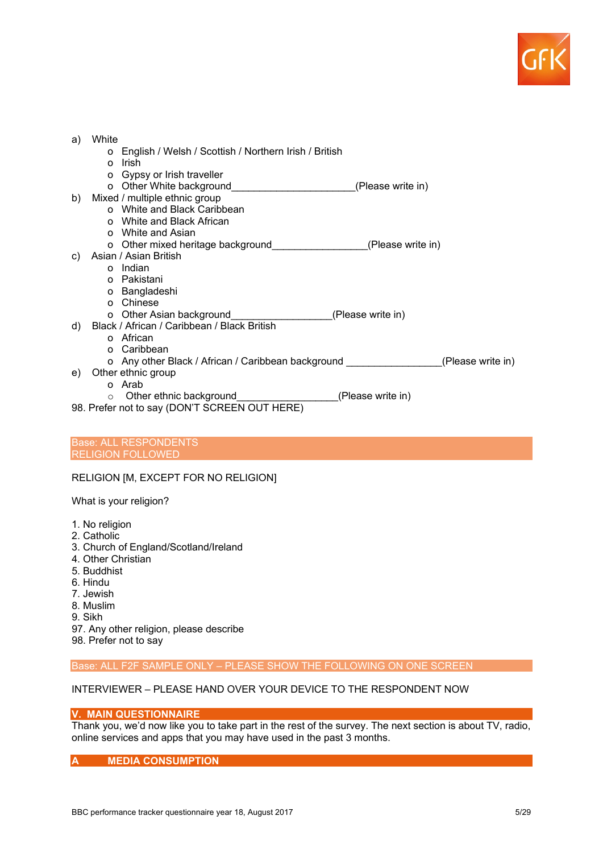

| a)<br>b)                                      | White<br>o English / Welsh / Scottish / Northern Irish / British<br>Irish<br>$\Omega$<br>o Gypsy or Irish traveller<br>(Please write in)<br>Mixed / multiple ethnic group<br>o White and Black Caribbean<br>o White and Black African |  |  |  |  |  |
|-----------------------------------------------|---------------------------------------------------------------------------------------------------------------------------------------------------------------------------------------------------------------------------------------|--|--|--|--|--|
|                                               | o White and Asian                                                                                                                                                                                                                     |  |  |  |  |  |
| C)                                            | o Other mixed heritage background_____________<br>(Please write in)<br>Asian / Asian British                                                                                                                                          |  |  |  |  |  |
|                                               | o Indian                                                                                                                                                                                                                              |  |  |  |  |  |
|                                               | o Pakistani                                                                                                                                                                                                                           |  |  |  |  |  |
|                                               | o Bangladeshi                                                                                                                                                                                                                         |  |  |  |  |  |
|                                               | o Chinese                                                                                                                                                                                                                             |  |  |  |  |  |
|                                               | o Other Asian background______________<br>(Please write in)                                                                                                                                                                           |  |  |  |  |  |
| d)                                            | Black / African / Caribbean / Black British                                                                                                                                                                                           |  |  |  |  |  |
|                                               | o African                                                                                                                                                                                                                             |  |  |  |  |  |
|                                               | o Caribbean                                                                                                                                                                                                                           |  |  |  |  |  |
|                                               | o Any other Black / African / Caribbean background<br>(Please write in)                                                                                                                                                               |  |  |  |  |  |
| e)                                            | Other ethnic group                                                                                                                                                                                                                    |  |  |  |  |  |
|                                               | o Arab                                                                                                                                                                                                                                |  |  |  |  |  |
|                                               | (Please write in)<br>Other ethnic background<br>$\circ$                                                                                                                                                                               |  |  |  |  |  |
| 98. Prefer not to say (DON'T SCREEN OUT HERE) |                                                                                                                                                                                                                                       |  |  |  |  |  |

#### Base: ALL RESPONDENTS RELIGION FOLLOWED

## RELIGION [M, EXCEPT FOR NO RELIGION]

What is your religion?

- 1. No religion
- 2. Catholic
- 3. Church of England/Scotland/Ireland
- 4. Other Christian
- 5. Buddhist
- 6. Hindu
- 7. Jewish
- 8. Muslim
- 9. Sikh

97. Any other religion, please describe

98. Prefer not to say

Base: ALL F2F SAMPLE ONLY – PLEASE SHOW THE FOLLOWING ON ONE SCREEN

## INTERVIEWER – PLEASE HAND OVER YOUR DEVICE TO THE RESPONDENT NOW

## **V. MAIN QUESTIONNAIRE**

Thank you, we'd now like you to take part in the rest of the survey. The next section is about TV, radio, online services and apps that you may have used in the past 3 months.

**A MEDIA CONSUMPTION**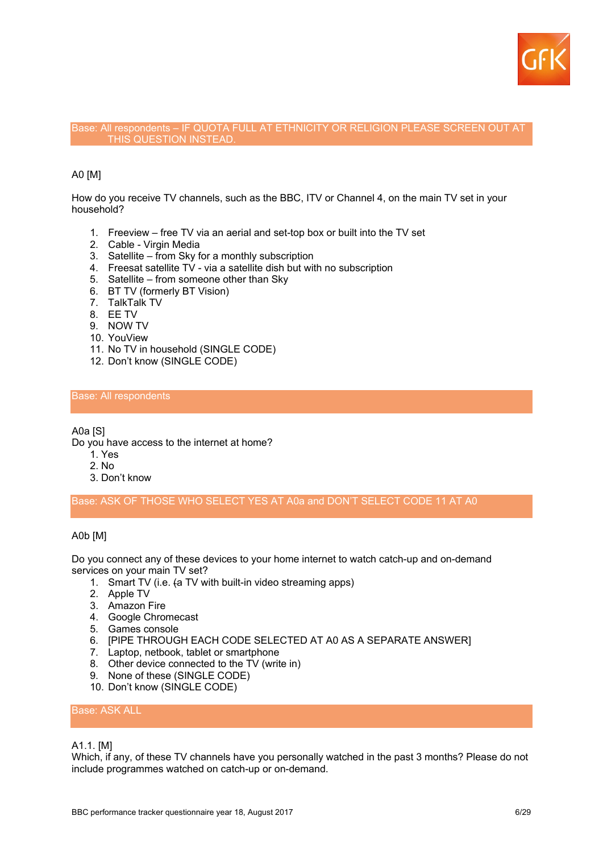

#### Base: All respondents – IF QUOTA FULL AT ETHNICITY OR RELIGION PLEASE SCREEN OUT AT THIS QUESTION INSTEAD.

## A0 [M]

How do you receive TV channels, such as the BBC, ITV or Channel 4, on the main TV set in your household?

- 1. Freeview free TV via an aerial and set-top box or built into the TV set
- 2. Cable Virgin Media
- 3. Satellite from Sky for a monthly subscription
- 4. Freesat satellite TV via a satellite dish but with no subscription
- 5. Satellite from someone other than Sky
- 6. BT TV (formerly BT Vision)
- 7. TalkTalk TV
- 8. EE TV
- 9. NOW TV
- 10. YouView
- 11. No TV in household (SINGLE CODE)
- 12. Don't know (SINGLE CODE)

## Base: All respondents

A0a [S]

Do you have access to the internet at home?

- 1. Yes
- 2. No
- 3. Don't know

Base: ASK OF THOSE WHO SELECT YES AT A0a and DON'T SELECT CODE 11 AT A0

### A0b [M]

Do you connect any of these devices to your home internet to watch catch-up and on-demand services on your main TV set?

- 1. Smart TV (i.e. (a TV with built-in video streaming apps)
- 2. Apple TV
- 3. Amazon Fire
- 4. Google Chromecast
- 5. Games console
- 6. [PIPE THROUGH EACH CODE SELECTED AT A0 AS A SEPARATE ANSWER]
- 7. Laptop, netbook, tablet or smartphone
- 8. Other device connected to the TV (write in)
- 9. None of these (SINGLE CODE)
- 10. Don't know (SINGLE CODE)

## Base: ASK ALL

#### A1.1. [M]

Which, if any, of these TV channels have you personally watched in the past 3 months? Please do not include programmes watched on catch-up or on-demand.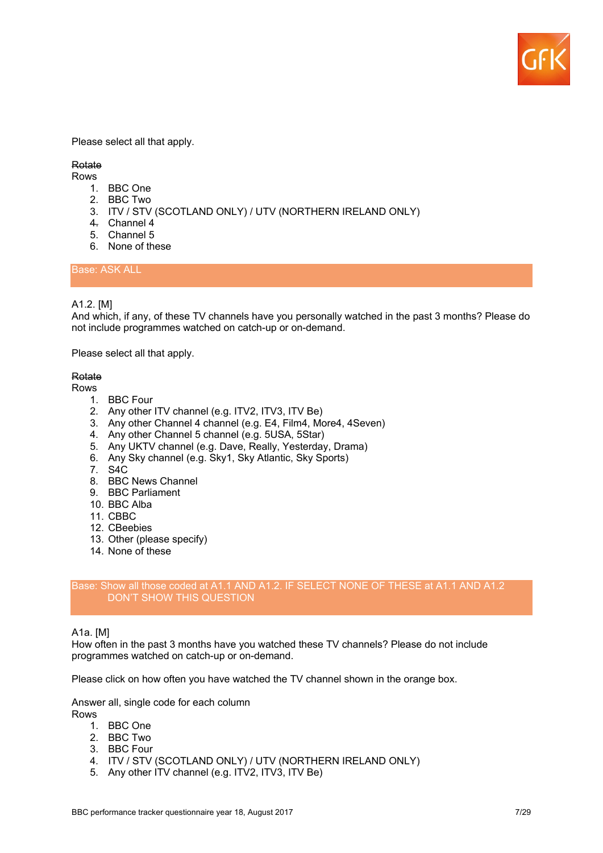

Please select all that apply.

## **Rotate**

Rows

- 1. BBC One
- 2. BBC Two
- 3. ITV / STV (SCOTLAND ONLY) / UTV (NORTHERN IRELAND ONLY)
- 4. Channel 4
- 5. Channel 5
- 6. None of these

Base: ASK ALL

## A1.2. [M]

And which, if any, of these TV channels have you personally watched in the past 3 months? Please do not include programmes watched on catch-up or on-demand.

Please select all that apply.

## Rotate

Rows

- 1. BBC Four
- 2. Any other ITV channel (e.g. ITV2, ITV3, ITV Be)
- 3. Any other Channel 4 channel (e.g. E4, Film4, More4, 4Seven)
- 4. Any other Channel 5 channel (e.g. 5USA, 5Star)
- 5. Any UKTV channel (e.g. Dave, Really, Yesterday, Drama)
- 6. Any Sky channel (e.g. Sky1, Sky Atlantic, Sky Sports)
- 7. S4C
- 8. BBC News Channel
- 9. BBC Parliament
- 10. BBC Alba
- 11. CBBC
- 12. CBeebies
- 13. Other (please specify)
- 14. None of these

## Base: Show all those coded at A1.1 AND A1.2. IF SELECT NONE OF THESE at A1.1 AND A1.2 DON'T SHOW THIS QUESTION

#### A1a. [M]

How often in the past 3 months have you watched these TV channels? Please do not include programmes watched on catch-up or on-demand.

Please click on how often you have watched the TV channel shown in the orange box.

Answer all, single code for each column Rows

- 1. BBC One
- 2. BBC Two
- 3. BBC Four
- 4. ITV / STV (SCOTLAND ONLY) / UTV (NORTHERN IRELAND ONLY)
- 5. Any other ITV channel (e.g. ITV2, ITV3, ITV Be)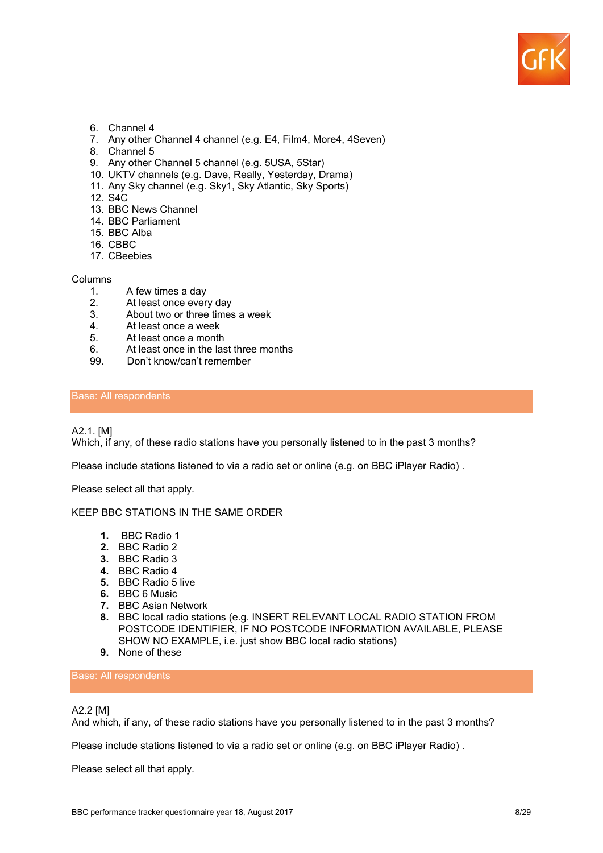

- 6. Channel 4
- 7. Any other Channel 4 channel (e.g. E4, Film4, More4, 4Seven)
- 8. Channel 5
- 9. Any other Channel 5 channel (e.g. 5USA, 5Star)
- 10. UKTV channels (e.g. Dave, Really, Yesterday, Drama)
- 11. Any Sky channel (e.g. Sky1, Sky Atlantic, Sky Sports)
- 12. S4C
- 13. BBC News Channel
- 14. BBC Parliament
- 15. BBC Alba
- 16. CBBC
- 17. CBeebies

#### Columns

- 1. A few times a day<br>2. At least once ever
- 
- 2. At least once every day<br>3. About two or three times About two or three times a week
- 4. At least once a week<br>5. At least once a month
- At least once a month
- 6. At least once in the last three months
- 99. Don't know/can't remember

## Base: All respondents

## A2.1. [M]

Which, if any, of these radio stations have you personally listened to in the past 3 months?

Please include stations listened to via a radio set or online (e.g. on BBC iPlayer Radio) .

Please select all that apply.

#### KEEP BBC STATIONS IN THE SAME ORDER

- **1.** BBC Radio 1
- **2.** BBC Radio 2
- **3.** BBC Radio 3
- **4.** BBC Radio 4
- **5.** BBC Radio 5 live
- **6.** BBC 6 Music
- **7.** BBC Asian Network
- **8.** BBC local radio stations (e.g. INSERT RELEVANT LOCAL RADIO STATION FROM POSTCODE IDENTIFIER, IF NO POSTCODE INFORMATION AVAILABLE, PLEASE SHOW NO EXAMPLE, i.e. just show BBC local radio stations)
- **9.** None of these

Base: All respondents

## A2.2 [M]

And which, if any, of these radio stations have you personally listened to in the past 3 months?

Please include stations listened to via a radio set or online (e.g. on BBC iPlayer Radio) .

Please select all that apply.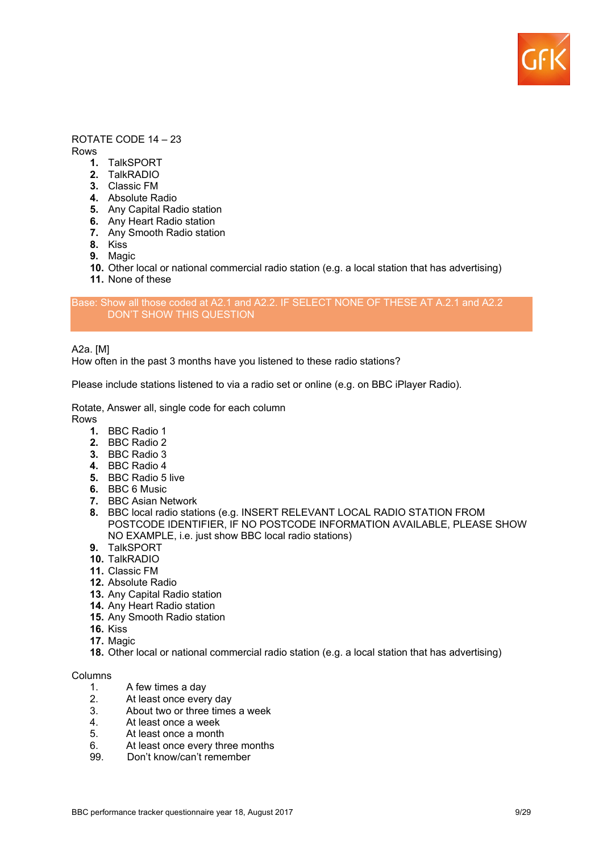

## ROTATE CODE 14 – 23

Rows

- **1.** TalkSPORT
- **2.** TalkRADIO
- **3.** Classic FM
- **4.** Absolute Radio
- **5.** Any Capital Radio station
- **6.** Any Heart Radio station
- **7.** Any Smooth Radio station
- **8.** Kiss
- **9.** Magic
- **10.** Other local or national commercial radio station (e.g. a local station that has advertising)
- **11.** None of these

#### Base: Show all those coded at A2.1 and A2.2. IF SELECT NONE OF THESE AT A.2.1 and A2.2 DON'T SHOW THIS QUESTION

A2a. [M]

How often in the past 3 months have you listened to these radio stations?

Please include stations listened to via a radio set or online (e.g. on BBC iPlayer Radio).

Rotate, Answer all, single code for each column

Rows

- **1.** BBC Radio 1
- **2.** BBC Radio 2
- **3.** BBC Radio 3
- **4.** BBC Radio 4
- **5.** BBC Radio 5 live
- **6.** BBC 6 Music
- **7.** BBC Asian Network
- **8.** BBC local radio stations (e.g. INSERT RELEVANT LOCAL RADIO STATION FROM POSTCODE IDENTIFIER, IF NO POSTCODE INFORMATION AVAILABLE, PLEASE SHOW NO EXAMPLE, i.e. just show BBC local radio stations)
- **9.** TalkSPORT
- **10.** TalkRADIO
- **11.** Classic FM
- **12.** Absolute Radio
- **13.** Any Capital Radio station
- **14.** Any Heart Radio station
- **15.** Any Smooth Radio station
- **16.** Kiss
- **17.** Magic
- **18.** Other local or national commercial radio station (e.g. a local station that has advertising)

## Columns

- 1. A few times a day
- 2. At least once every day
- 3. About two or three times a week
- 4. At least once a week
- 5. At least once a month
- 6. At least once every three months
- 99. Don't know/can't remember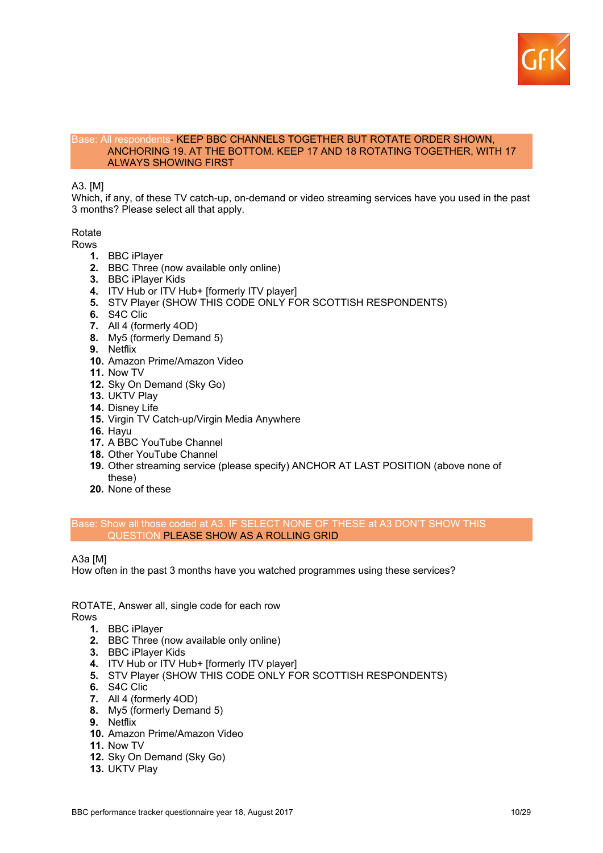

#### Base: All respondents- KEEP BBC CHANNELS TOGETHER BUT ROTATE ORDER SHOWN, ANCHORING 19. AT THE BOTTOM. KEEP 17 AND 18 ROTATING TOGETHER, WITH 17 ALWAYS SHOWING FIRST

## A3. [M]

Which, if any, of these TV catch-up, on-demand or video streaming services have you used in the past 3 months? Please select all that apply.

Rotate

- Rows
	- **1.** BBC iPlayer
	- **2.** BBC Three (now available only online)
	- **3.** BBC iPlayer Kids
	- **4.** ITV Hub or ITV Hub+ [formerly ITV player]
	- **5.** STV Player (SHOW THIS CODE ONLY FOR SCOTTISH RESPONDENTS)
	- **6.** S4C Clic
	- **7.** All 4 (formerly 4OD)
	- **8.** My5 (formerly Demand 5)
	- **9.** Netflix
	- **10.** Amazon Prime/Amazon Video
	- **11.** Now TV
	- **12.** Sky On Demand (Sky Go)
	- **13.** UKTV Play
	- **14.** Disney Life
	- **15.** Virgin TV Catch-up/Virgin Media Anywhere
	- **16.** Hayu
	- **17.** A BBC YouTube Channel
	- **18.** Other YouTube Channel
	- **19.** Other streaming service (please specify) ANCHOR AT LAST POSITION (above none of these)
	- **20.** None of these

Base: Show all those coded at A3. IF SELECT NONE OF THESE at A3 DON'T SHOW THIS QUESTION PLEASE SHOW AS A ROLLING GRID

A3a [M]

How often in the past 3 months have you watched programmes using these services?

ROTATE, Answer all, single code for each row Rows

- **1.** BBC iPlayer
- **2.** BBC Three (now available only online)
- **3.** BBC iPlayer Kids
- **4.** ITV Hub or ITV Hub+ [formerly ITV player]
- **5.** STV Player (SHOW THIS CODE ONLY FOR SCOTTISH RESPONDENTS)
- **6.** S4C Clic
- **7.** All 4 (formerly 4OD)
- **8.** My5 (formerly Demand 5)
- **9.** Netflix
- **10.** Amazon Prime/Amazon Video
- **11.** Now TV
- **12.** Sky On Demand (Sky Go)
- **13.** UKTV Play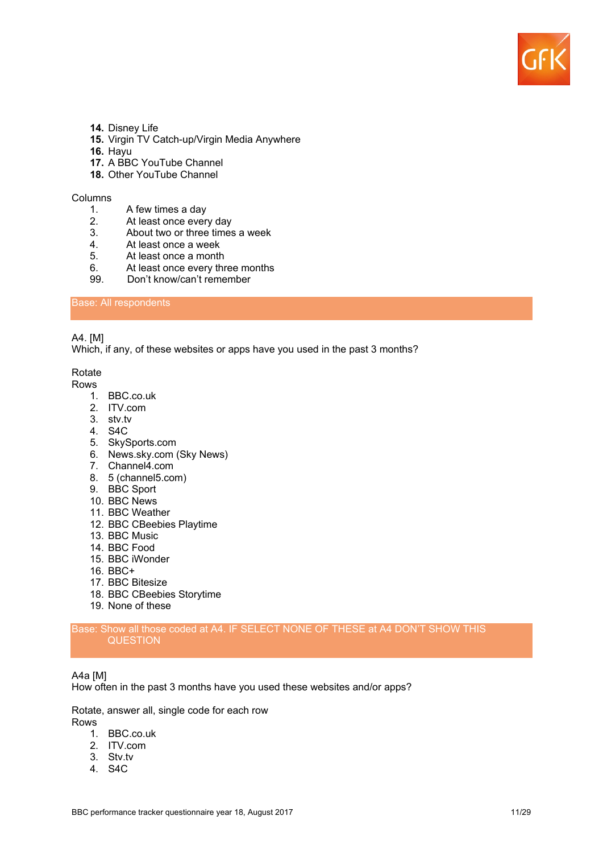

- **14.** Disney Life
- **15.** Virgin TV Catch-up/Virgin Media Anywhere
- **16.** Hayu
- **17.** A BBC YouTube Channel
- **18.** Other YouTube Channel

#### Columns

- 1. A few times a day
- 2. At least once every day<br>3. About two or three times
- About two or three times a week
- 4. At least once a week
- 5. At least once a month
- 6. At least once every three months
- 99. Don't know/can't remember

## Base: All respondents

## A4. [M]

Which, if any, of these websites or apps have you used in the past 3 months?

Rotate

#### Rows

- 1. BBC.co.uk
- 2. ITV.com
- 3. stv.tv
- 4. S4C
- 5. SkySports.com
- 6. News.sky.com (Sky News)
- 7. Channel4.com
- 8. 5 (channel5.com)
- 9. BBC Sport
- 10. BBC News
- 11. BBC Weather
- 12. BBC CBeebies Playtime
- 13. BBC Music
- 14. BBC Food
- 15. BBC iWonder
- 16. BBC+
- 17. BBC Bitesize
- 18. BBC CBeebies Storytime
- 19. None of these

## Base: Show all those coded at A4. IF SELECT NONE OF THESE at A4 DON'T SHOW THIS **QUESTION**

#### A4a [M]

How often in the past 3 months have you used these websites and/or apps?

Rotate, answer all, single code for each row

Rows

- 1. BBC.co.uk
- 2. ITV.com
- 3. Stv.tv
- 4. S4C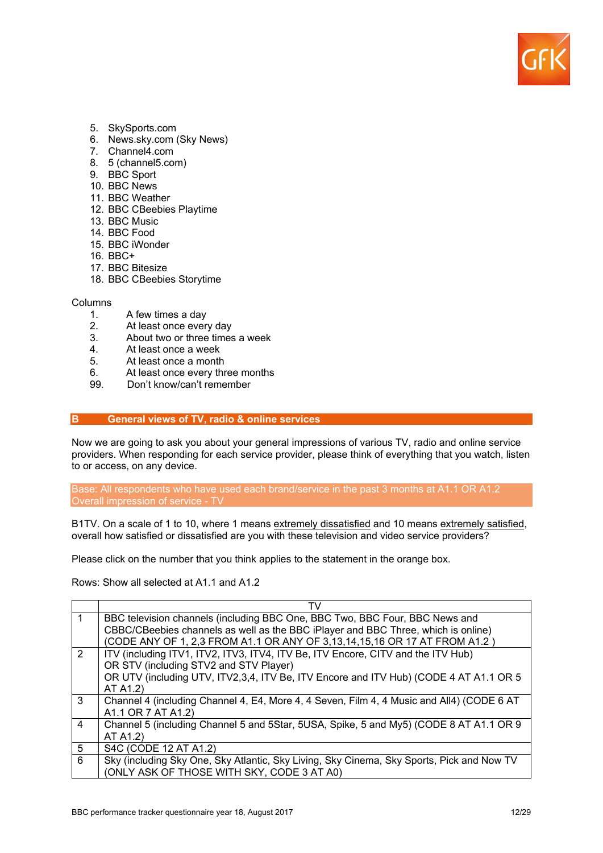

- 5. SkySports.com
- 6. News.sky.com (Sky News)
- 7. Channel4.com
- 8. 5 (channel5.com)
- 9. BBC Sport
- 10. BBC News
- 11. BBC Weather
- 12. BBC CBeebies Playtime
- 13. BBC Music
- 14. BBC Food
- 15. BBC iWonder
- 16. BBC+
- 17. BBC Bitesize
- 18. BBC CBeebies Storytime

#### Columns

- 1. A few times a day
- 
- 2. At least once every day<br>3. About two or three times About two or three times a week
- 4. At least once a week
- 5. At least once a month
- 6. At least once every three months
- 99. Don't know/can't remember

## **B General views of TV, radio & online services**

Now we are going to ask you about your general impressions of various TV, radio and online service providers. When responding for each service provider, please think of everything that you watch, listen to or access, on any device.

Base: All respondents who have used each brand/service in the past 3 months at A1.1 OR A1.2 Overall impression of service - TV

B1TV. On a scale of 1 to 10, where 1 means extremely dissatisfied and 10 means extremely satisfied, overall how satisfied or dissatisfied are you with these television and video service providers?

Please click on the number that you think applies to the statement in the orange box.

Rows: Show all selected at A1.1 and A1.2

| 1                                                                                     | BBC television channels (including BBC One, BBC Two, BBC Four, BBC News and               |  |  |  |  |  |  |  |
|---------------------------------------------------------------------------------------|-------------------------------------------------------------------------------------------|--|--|--|--|--|--|--|
|                                                                                       | CBBC/CBeebies channels as well as the BBC iPlayer and BBC Three, which is online)         |  |  |  |  |  |  |  |
|                                                                                       | (CODE ANY OF 1, 2,3 FROM A1.1 OR ANY OF 3,13,14,15,16 OR 17 AT FROM A1.2)                 |  |  |  |  |  |  |  |
| 2<br>ITV (including ITV1, ITV2, ITV3, ITV4, ITV Be, ITV Encore, CITV and the ITV Hub) |                                                                                           |  |  |  |  |  |  |  |
|                                                                                       | OR STV (including STV2 and STV Player)                                                    |  |  |  |  |  |  |  |
|                                                                                       | OR UTV (including UTV, ITV2,3,4, ITV Be, ITV Encore and ITV Hub) (CODE 4 AT A1.1 OR 5     |  |  |  |  |  |  |  |
|                                                                                       | AT A1.2)                                                                                  |  |  |  |  |  |  |  |
| 3                                                                                     | Channel 4 (including Channel 4, E4, More 4, 4 Seven, Film 4, 4 Music and All4) (CODE 6 AT |  |  |  |  |  |  |  |
|                                                                                       | A1.1 OR 7 AT A1.2)                                                                        |  |  |  |  |  |  |  |
| 4                                                                                     | Channel 5 (including Channel 5 and 5Star, 5USA, Spike, 5 and My5) (CODE 8 AT A1.1 OR 9    |  |  |  |  |  |  |  |
|                                                                                       | AT A1.2)                                                                                  |  |  |  |  |  |  |  |
| 5                                                                                     | S4C (CODE 12 AT A1.2)                                                                     |  |  |  |  |  |  |  |
| 6                                                                                     | Sky (including Sky One, Sky Atlantic, Sky Living, Sky Cinema, Sky Sports, Pick and Now TV |  |  |  |  |  |  |  |
|                                                                                       | (ONLY ASK OF THOSE WITH SKY, CODE 3 AT A0)                                                |  |  |  |  |  |  |  |
|                                                                                       |                                                                                           |  |  |  |  |  |  |  |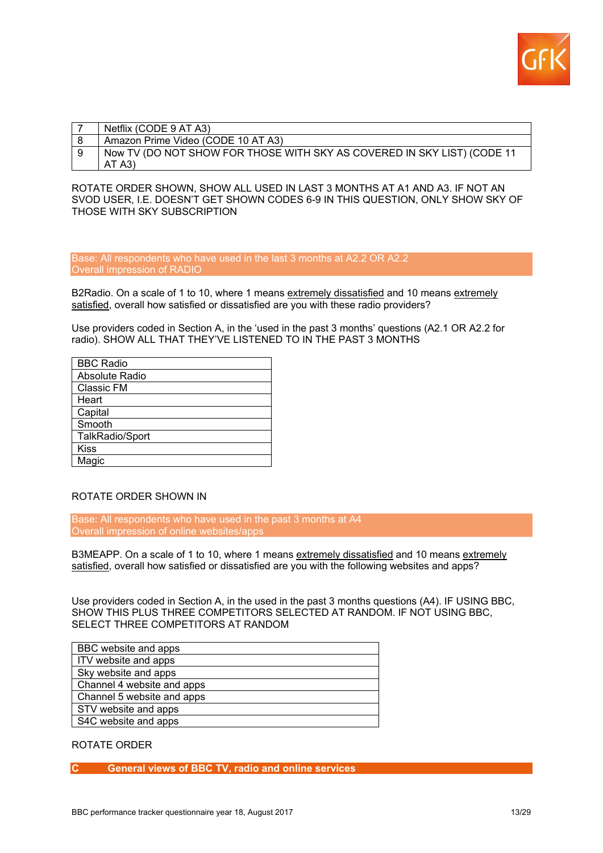

| Netflix (CODE 9 AT A3)                                                  |
|-------------------------------------------------------------------------|
| Amazon Prime Video (CODE 10 AT A3)                                      |
| Now TV (DO NOT SHOW FOR THOSE WITH SKY AS COVERED IN SKY LIST) (CODE 11 |
| AT A3                                                                   |

ROTATE ORDER SHOWN, SHOW ALL USED IN LAST 3 MONTHS AT A1 AND A3. IF NOT AN SVOD USER, I.E. DOESN'T GET SHOWN CODES 6-9 IN THIS QUESTION, ONLY SHOW SKY OF THOSE WITH SKY SUBSCRIPTION

Base: All respondents who have used in the last 3 months at A2.2 OR A2.2 Overall impression of RADIO

B2Radio. On a scale of 1 to 10, where 1 means extremely dissatisfied and 10 means extremely satisfied, overall how satisfied or dissatisfied are you with these radio providers?

Use providers coded in Section A, in the 'used in the past 3 months' questions (A2.1 OR A2.2 for radio). SHOW ALL THAT THEY'VE LISTENED TO IN THE PAST 3 MONTHS

| <b>BBC Radio</b>  |
|-------------------|
| Absolute Radio    |
| <b>Classic FM</b> |
| Heart             |
| Capital           |
| Smooth            |
| TalkRadio/Sport   |
| <b>Kiss</b>       |
| Magic             |

## ROTATE ORDER SHOWN IN

Base: All respondents who have used in the past 3 months at A4 Overall impression of online websites/apps

B3MEAPP. On a scale of 1 to 10, where 1 means extremely dissatisfied and 10 means extremely satisfied, overall how satisfied or dissatisfied are you with the following websites and apps?

Use providers coded in Section A, in the used in the past 3 months questions (A4). IF USING BBC, SHOW THIS PLUS THREE COMPETITORS SELECTED AT RANDOM. IF NOT USING BBC, SELECT THREE COMPETITORS AT RANDOM

| BBC website and apps       |  |  |  |
|----------------------------|--|--|--|
| ITV website and apps       |  |  |  |
| Sky website and apps       |  |  |  |
| Channel 4 website and apps |  |  |  |
| Channel 5 website and apps |  |  |  |
| STV website and apps       |  |  |  |
| S4C website and apps       |  |  |  |

#### ROTATE ORDER

## **C General views of BBC TV, radio and online services**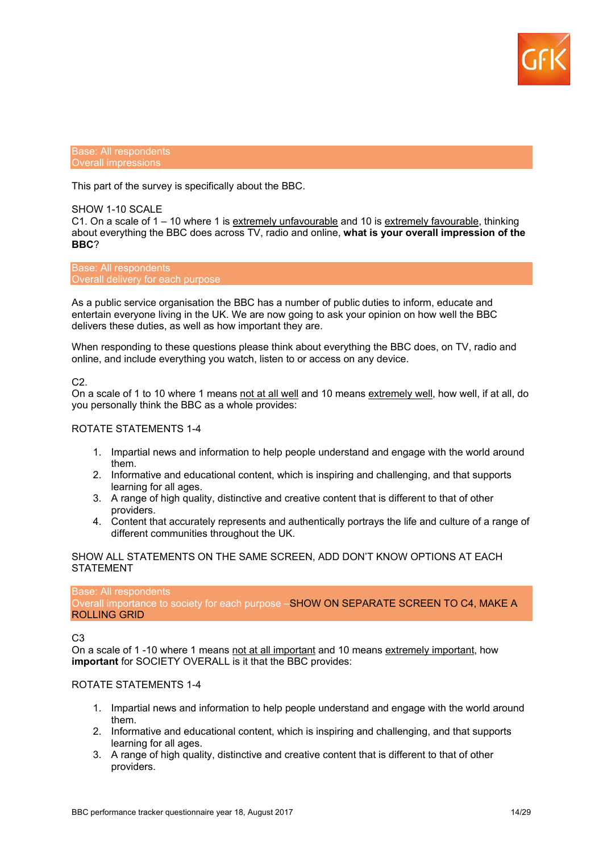

Base: All respondents Overall impressions

This part of the survey is specifically about the BBC.

## SHOW 1-10 SCALE

C1. On a scale of 1 – 10 where 1 is extremely unfavourable and 10 is extremely favourable, thinking about everything the BBC does across TV, radio and online, **what is your overall impression of the BBC**?

Base: All respondents Overall delivery for each purpose

As a public service organisation the BBC has a number of public duties to inform, educate and entertain everyone living in the UK. We are now going to ask your opinion on how well the BBC delivers these duties, as well as how important they are.

When responding to these questions please think about everything the BBC does, on TV, radio and online, and include everything you watch, listen to or access on any device.

#### C2.

On a scale of 1 to 10 where 1 means not at all well and 10 means extremely well, how well, if at all, do you personally think the BBC as a whole provides:

## ROTATE STATEMENTS 1-4

- 1. Impartial news and information to help people understand and engage with the world around them.
- 2. Informative and educational content, which is inspiring and challenging, and that supports learning for all ages.
- 3. A range of high quality, distinctive and creative content that is different to that of other providers.
- 4. Content that accurately represents and authentically portrays the life and culture of a range of different communities throughout the UK.

## SHOW ALL STATEMENTS ON THE SAME SCREEN, ADD DON'T KNOW OPTIONS AT EACH STATEMENT

Base: All respondents Overall importance to society for each purpose -SHOW ON SEPARATE SCREEN TO C4, MAKE A ROLLING GRID

#### C3

On a scale of 1 -10 where 1 means not at all important and 10 means extremely important, how **important** for SOCIETY OVERALL is it that the BBC provides:

## ROTATE STATEMENTS 1-4

- 1. Impartial news and information to help people understand and engage with the world around them.
- 2. Informative and educational content, which is inspiring and challenging, and that supports learning for all ages.
- 3. A range of high quality, distinctive and creative content that is different to that of other providers.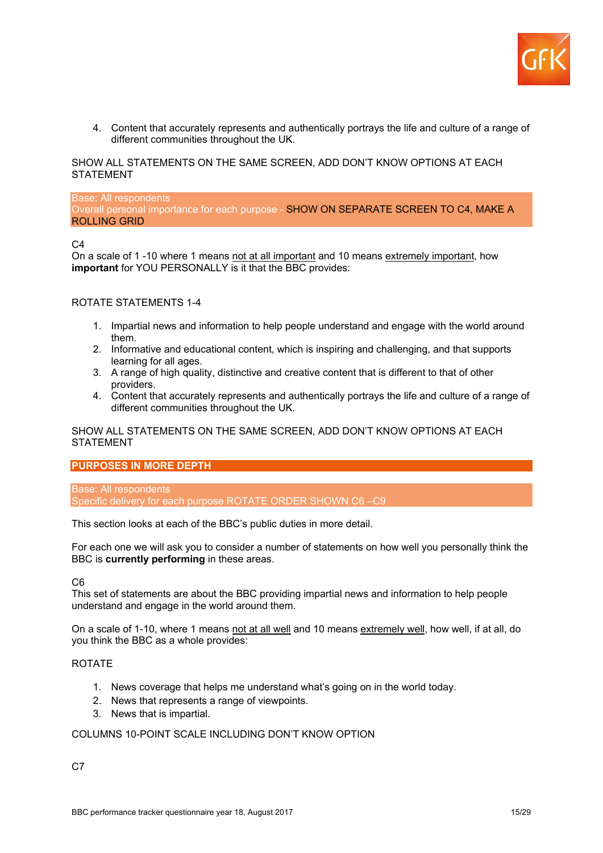

4. Content that accurately represents and authentically portrays the life and culture of a range of different communities throughout the UK.

SHOW ALL STATEMENTS ON THE SAME SCREEN, ADD DON'T KNOW OPTIONS AT EACH STATEMENT

Base: All respondents Overall personal importance for each purpose - SHOW ON SEPARATE SCREEN TO C4, MAKE A ROLLING GRID

 $C<sub>4</sub>$ 

On a scale of 1 -10 where 1 means not at all important and 10 means extremely important, how **important** for YOU PERSONALLY is it that the BBC provides:

#### ROTATE STATEMENTS 1-4

- 1. Impartial news and information to help people understand and engage with the world around them.
- 2. Informative and educational content, which is inspiring and challenging, and that supports learning for all ages.
- 3. A range of high quality, distinctive and creative content that is different to that of other providers.
- 4. Content that accurately represents and authentically portrays the life and culture of a range of different communities throughout the UK.

SHOW ALL STATEMENTS ON THE SAME SCREEN, ADD DON'T KNOW OPTIONS AT EACH **STATEMENT** 

## **PURPOSES IN MORE DEPTH**

Base: All respondents Specific delivery for each purpose ROTATE ORDER SHOWN C6 –C9

This section looks at each of the BBC's public duties in more detail.

For each one we will ask you to consider a number of statements on how well you personally think the BBC is **currently performing** in these areas.

 $C<sub>6</sub>$ 

This set of statements are about the BBC providing impartial news and information to help people understand and engage in the world around them.

On a scale of 1-10, where 1 means not at all well and 10 means extremely well, how well, if at all, do you think the BBC as a whole provides:

## ROTATE

- 1. News coverage that helps me understand what's going on in the world today.
- 2. News that represents a range of viewpoints.
- 3. News that is impartial.

#### COLUMNS 10-POINT SCALE INCLUDING DON'T KNOW OPTION

 $C<sub>7</sub>$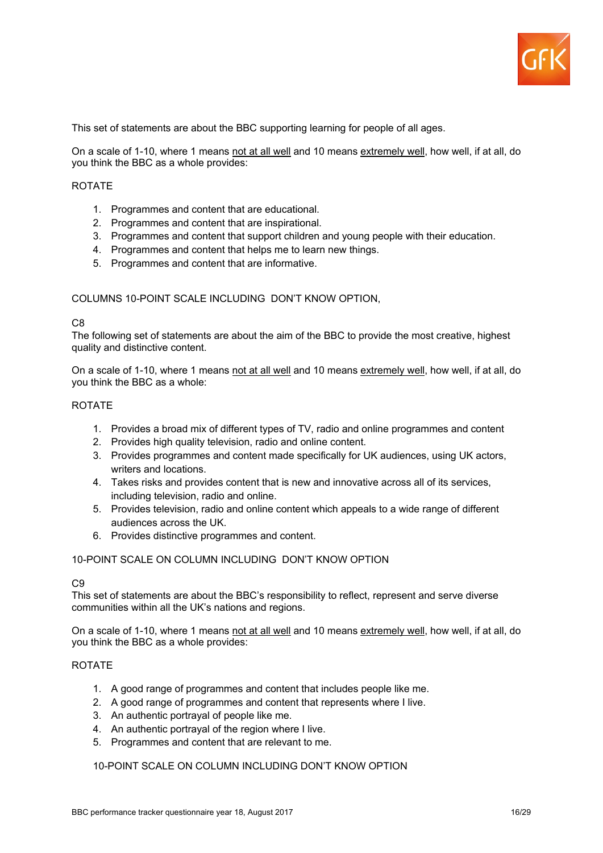

This set of statements are about the BBC supporting learning for people of all ages.

On a scale of 1-10, where 1 means not at all well and 10 means extremely well, how well, if at all, do you think the BBC as a whole provides:

## ROTATE

- 1. Programmes and content that are educational.
- 2. Programmes and content that are inspirational.
- 3. Programmes and content that support children and young people with their education.
- 4. Programmes and content that helps me to learn new things.
- 5. Programmes and content that are informative.

## COLUMNS 10-POINT SCALE INCLUDING DON'T KNOW OPTION,

#### C<sub>8</sub>

The following set of statements are about the aim of the BBC to provide the most creative, highest quality and distinctive content.

On a scale of 1-10, where 1 means not at all well and 10 means extremely well, how well, if at all, do you think the BBC as a whole:

## ROTATE

- 1. Provides a broad mix of different types of TV, radio and online programmes and content
- 2. Provides high quality television, radio and online content.
- 3. Provides programmes and content made specifically for UK audiences, using UK actors, writers and locations.
- 4. Takes risks and provides content that is new and innovative across all of its services, including television, radio and online.
- 5. Provides television, radio and online content which appeals to a wide range of different audiences across the UK.
- 6. Provides distinctive programmes and content.

## 10-POINT SCALE ON COLUMN INCLUDING DON'T KNOW OPTION

## C<sub>9</sub>

This set of statements are about the BBC's responsibility to reflect, represent and serve diverse communities within all the UK's nations and regions.

On a scale of 1-10, where 1 means not at all well and 10 means extremely well, how well, if at all, do you think the BBC as a whole provides:

#### ROTATE

- 1. A good range of programmes and content that includes people like me.
- 2. A good range of programmes and content that represents where I live.
- 3. An authentic portrayal of people like me.
- 4. An authentic portrayal of the region where I live.
- 5. Programmes and content that are relevant to me.

## 10-POINT SCALE ON COLUMN INCLUDING DON'T KNOW OPTION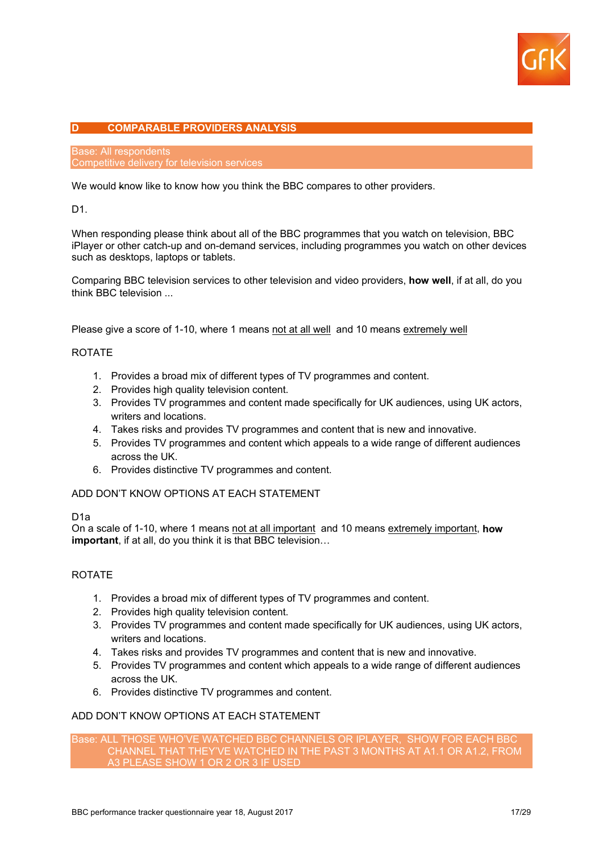

## **D COMPARABLE PROVIDERS ANALYSIS**

Base: All respondents Competitive delivery for television services

We would know like to know how you think the BBC compares to other providers.

D1.

When responding please think about all of the BBC programmes that you watch on television, BBC iPlayer or other catch-up and on-demand services, including programmes you watch on other devices such as desktops, laptops or tablets.

Comparing BBC television services to other television and video providers, **how well**, if at all, do you think BBC television ...

Please give a score of 1-10, where 1 means not at all well and 10 means extremely well

## ROTATE

- 1. Provides a broad mix of different types of TV programmes and content.
- 2. Provides high quality television content.
- 3. Provides TV programmes and content made specifically for UK audiences, using UK actors, writers and locations.
- 4. Takes risks and provides TV programmes and content that is new and innovative.
- 5. Provides TV programmes and content which appeals to a wide range of different audiences across the UK.
- 6. Provides distinctive TV programmes and content.

ADD DON'T KNOW OPTIONS AT EACH STATEMENT

D1a

On a scale of 1-10, where 1 means not at all important and 10 means extremely important, **how important**, if at all, do you think it is that BBC television…

## ROTATE

- 1. Provides a broad mix of different types of TV programmes and content.
- 2. Provides high quality television content.
- 3. Provides TV programmes and content made specifically for UK audiences, using UK actors, writers and locations.
- 4. Takes risks and provides TV programmes and content that is new and innovative.
- 5. Provides TV programmes and content which appeals to a wide range of different audiences across the UK.
- 6. Provides distinctive TV programmes and content.

## ADD DON'T KNOW OPTIONS AT EACH STATEMENT

Base: ALL THOSE WHO'VE WATCHED BBC CHANNELS OR IPLAYER, SHOW FOR EACH BBC CHANNEL THAT THEY'VE WATCHED IN THE PAST 3 MONTHS AT A1.1 OR A1.2, FROM A3 PLEASE SHOW 1 OR 2 OR 3 IF USED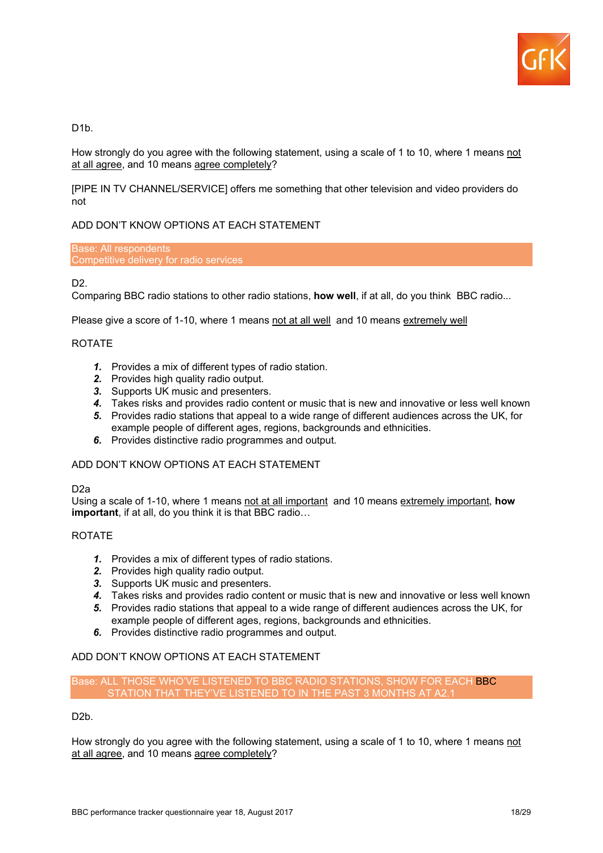

D<sub>1</sub>b.

How strongly do you agree with the following statement, using a scale of 1 to 10, where 1 means not at all agree, and 10 means agree completely?

[PIPE IN TV CHANNEL/SERVICE] offers me something that other television and video providers do not

## ADD DON'T KNOW OPTIONS AT EACH STATEMENT

Base: All respondents Competitive delivery for radio services

## D<sub>2</sub>

Comparing BBC radio stations to other radio stations, **how well**, if at all, do you think BBC radio...

Please give a score of 1-10, where 1 means not at all well and 10 means extremely well

## ROTATE

- *1.* Provides a mix of different types of radio station.
- *2.* Provides high quality radio output.
- *3.* Supports UK music and presenters.
- *4.* Takes risks and provides radio content or music that is new and innovative or less well known
- *5.* Provides radio stations that appeal to a wide range of different audiences across the UK, for example people of different ages, regions, backgrounds and ethnicities.
- *6.* Provides distinctive radio programmes and output.

## ADD DON'T KNOW OPTIONS AT EACH STATEMENT

## D2a

Using a scale of 1-10, where 1 means not at all important and 10 means extremely important, **how important**, if at all, do you think it is that BBC radio…

## ROTATE

- *1.* Provides a mix of different types of radio stations.
- *2.* Provides high quality radio output.
- *3.* Supports UK music and presenters.
- *4.* Takes risks and provides radio content or music that is new and innovative or less well known
- *5.* Provides radio stations that appeal to a wide range of different audiences across the UK, for example people of different ages, regions, backgrounds and ethnicities.
- *6.* Provides distinctive radio programmes and output.

## ADD DON'T KNOW OPTIONS AT EACH STATEMENT

Base: ALL THOSE WHO'VE LISTENED TO BBC RADIO STATIONS, SHOW FOR EACH BBC STATION THAT THEY'VE LISTENED TO IN THE PAST 3 MONTHS AT A2.1

D<sub>2</sub>b.

How strongly do you agree with the following statement, using a scale of 1 to 10, where 1 means not at all agree, and 10 means agree completely?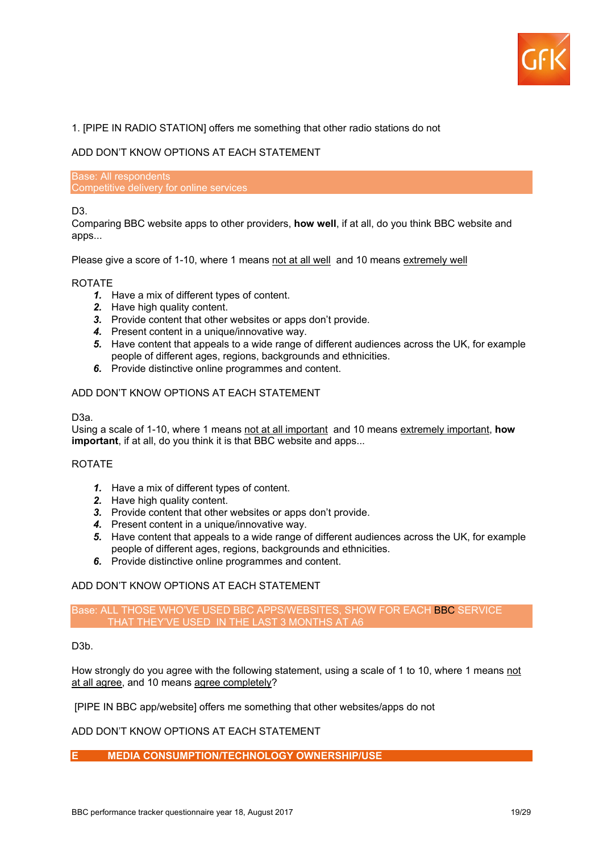

## 1. [PIPE IN RADIO STATION] offers me something that other radio stations do not

## ADD DON'T KNOW OPTIONS AT EACH STATEMENT

Base: All respondents Competitive delivery for online services

## D3.

Comparing BBC website apps to other providers, **how well**, if at all, do you think BBC website and apps...

Please give a score of 1-10, where 1 means not at all well and 10 means extremely well

#### ROTATE

- *1.* Have a mix of different types of content.
- **2.** Have high quality content.
- *3.* Provide content that other websites or apps don't provide.
- *4.* Present content in a unique/innovative way.
- *5.* Have content that appeals to a wide range of different audiences across the UK, for example people of different ages, regions, backgrounds and ethnicities.
- *6.* Provide distinctive online programmes and content.

## ADD DON'T KNOW OPTIONS AT EACH STATEMENT

## D3a.

Using a scale of 1-10, where 1 means not at all important and 10 means extremely important, **how important**, if at all, do you think it is that BBC website and apps...

## ROTATE

- *1.* Have a mix of different types of content.
- *2.* Have high quality content.
- *3.* Provide content that other websites or apps don't provide.
- *4.* Present content in a unique/innovative way.
- *5.* Have content that appeals to a wide range of different audiences across the UK, for example people of different ages, regions, backgrounds and ethnicities.
- *6.* Provide distinctive online programmes and content.

## ADD DON'T KNOW OPTIONS AT EACH STATEMENT

## Base: ALL THOSE WHO'VE USED BBC APPS/WEBSITES, SHOW FOR EACH BBC SERVICE THAT THEY'VE USED IN THE LAST 3 MONTHS AT A6

## D<sub>3</sub>b.

How strongly do you agree with the following statement, using a scale of 1 to 10, where 1 means not at all agree, and 10 means agree completely?

[PIPE IN BBC app/website] offers me something that other websites/apps do not

## ADD DON'T KNOW OPTIONS AT EACH STATEMENT

## **E MEDIA CONSUMPTION/TECHNOLOGY OWNERSHIP/USE**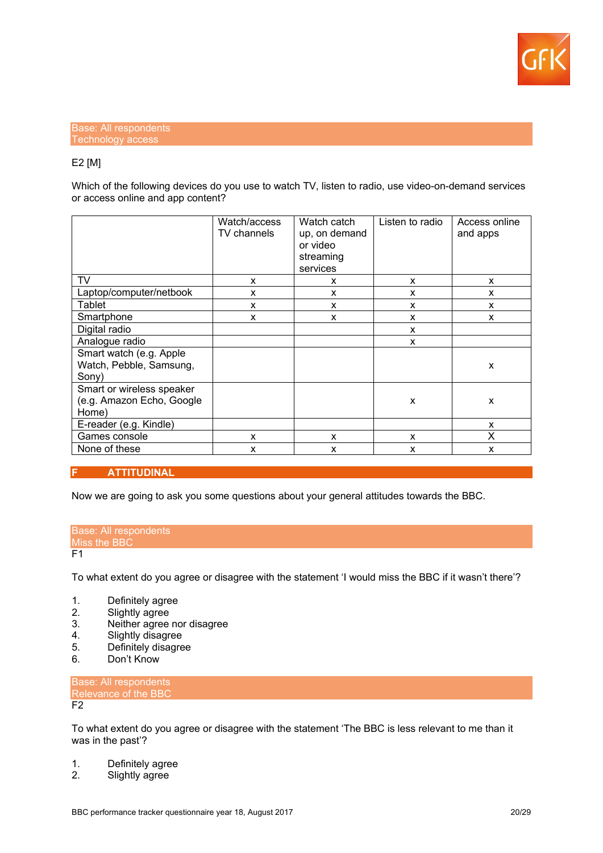

## Base: All respondents Technology access

## E2 [M]

Which of the following devices do you use to watch TV, listen to radio, use video-on-demand services or access online and app content?

|                                                                 | Watch/access<br>TV channels | Watch catch<br>up, on demand<br>or video<br>streaming<br>services | Listen to radio | Access online<br>and apps |
|-----------------------------------------------------------------|-----------------------------|-------------------------------------------------------------------|-----------------|---------------------------|
| TV                                                              | x                           | X                                                                 | X               | X                         |
| Laptop/computer/netbook                                         | X                           | X                                                                 | X               | X                         |
| Tablet                                                          | X                           | X                                                                 | X               | X                         |
| Smartphone                                                      | X                           | X                                                                 | X               | X                         |
| Digital radio                                                   |                             |                                                                   | X               |                           |
| Analogue radio                                                  |                             |                                                                   | X               |                           |
| Smart watch (e.g. Apple<br>Watch, Pebble, Samsung,<br>Sony)     |                             |                                                                   |                 | X                         |
| Smart or wireless speaker<br>(e.g. Amazon Echo, Google<br>Home) |                             |                                                                   | $\mathsf{x}$    | X                         |
| E-reader (e.g. Kindle)                                          |                             |                                                                   |                 | X                         |
| Games console                                                   | x                           | X                                                                 | X               | X                         |
| None of these                                                   | x                           | X                                                                 | X               | X                         |

## **F ATTITUDINAL**

Now we are going to ask you some questions about your general attitudes towards the BBC.

#### Base: All respondents Miss the BBC  $F1$

To what extent do you agree or disagree with the statement 'I would miss the BBC if it wasn't there'?

- 1. Definitely agree
- 2. Slightly agree<br>3. Neither agree
- 3. Neither agree nor disagree<br>4. Slightly disagree
- 4. Slightly disagree<br>5. Definitely disagre
- 5. Definitely disagree
- Don't Know

Base: All respondents Relevance of the BBC  $F<sub>2</sub>$ 

To what extent do you agree or disagree with the statement 'The BBC is less relevant to me than it was in the past'?

- 1. Definitely agree
- 2. Slightly agree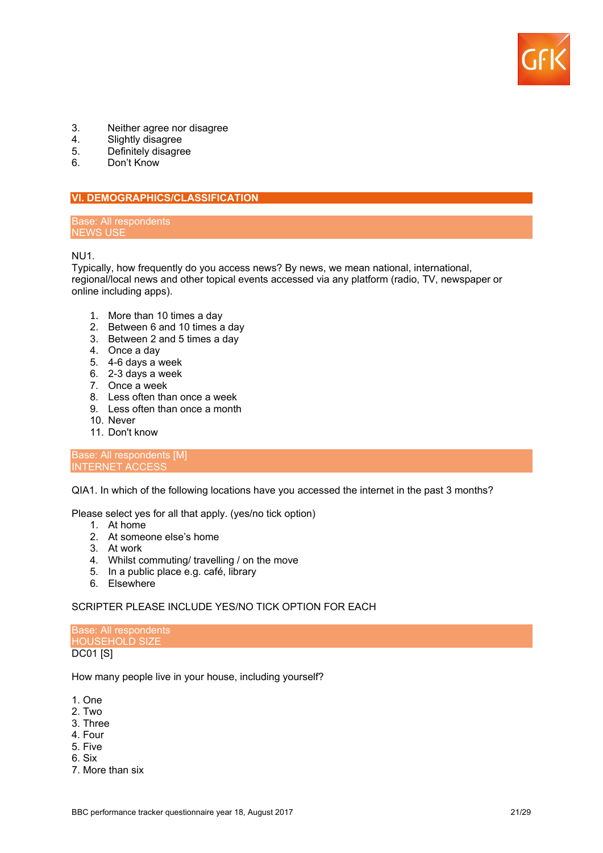

- 3. Neither agree nor disagree<br>4. Slightly disagree
- 4. Slightly disagree<br>5. Definitely disagre
- 5. Definitely disagree<br>6 Don't Know
- Don't Know

## **VI. DEMOGRAPHICS/CLASSIFICATION**

#### Base: All respondents NEWS USE

NU1.

Typically, how frequently do you access news? By news, we mean national, international, regional/local news and other topical events accessed via any platform (radio, TV, newspaper or online including apps).

- 1. More than 10 times a day
- 2. Between 6 and 10 times a day
- 3. Between 2 and 5 times a day
- 4. Once a day
- 5. 4-6 days a week
- 6. 2-3 days a week
- 7. Once a week
- 8. Less often than once a week
- 9. Less often than once a month
- 10. Never
- 11. Don't know

#### Base: All respondents [M] INTERNET ACCESS

QIA1. In which of the following locations have you accessed the internet in the past 3 months?

Please select yes for all that apply. (yes/no tick option)

- 1. At home
- 2. At someone else's home
- 3. At work
- 4. Whilst commuting/ travelling / on the move
- 5. In a public place e.g. café, library
- 6. Elsewhere

## SCRIPTER PLEASE INCLUDE YES/NO TICK OPTION FOR EACH

Base: All respondents HOUSEHOLD SIZE DC01 [S]

How many people live in your house, including yourself?

- 1. One
- 2. Two
- 3. Three
- 4. Four
- 5. Five
- 6. Six
- 7. More than six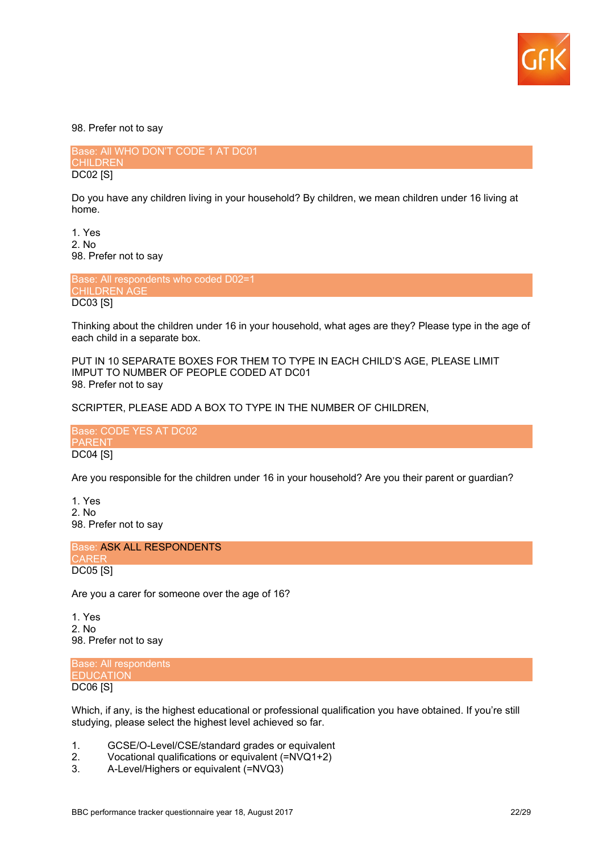

98. Prefer not to say

Base: All WHO DON'T CODE 1 AT DC01 **CHILDREN** DC02 [S]

Do you have any children living in your household? By children, we mean children under 16 living at home.

1. Yes 2. No 98. Prefer not to say

Base: All respondents who coded D02=1 CHILDREN AGE DC03 [S]

Thinking about the children under 16 in your household, what ages are they? Please type in the age of each child in a separate box.

PUT IN 10 SEPARATE BOXES FOR THEM TO TYPE IN EACH CHILD'S AGE, PLEASE LIMIT IMPUT TO NUMBER OF PEOPLE CODED AT DC01 98. Prefer not to say

SCRIPTER, PLEASE ADD A BOX TO TYPE IN THE NUMBER OF CHILDREN,

Base: CODE YES AT DC02 **PARENT** DC04 [S]

Are you responsible for the children under 16 in your household? Are you their parent or guardian?

1. Yes 2. No 98. Prefer not to say

Base: ASK ALL RESPONDENTS **CAREF** DC05 [S]

Are you a carer for someone over the age of 16?

1. Yes 2. No 98. Prefer not to say

Base: All respondents **EDUCATION** DC06 [S]

Which, if any, is the highest educational or professional qualification you have obtained. If you're still studying, please select the highest level achieved so far.

- 1. GCSE/O-Level/CSE/standard grades or equivalent
- 2. Vocational qualifications or equivalent (=NVQ1+2)
- 3. A-Level/Highers or equivalent (=NVQ3)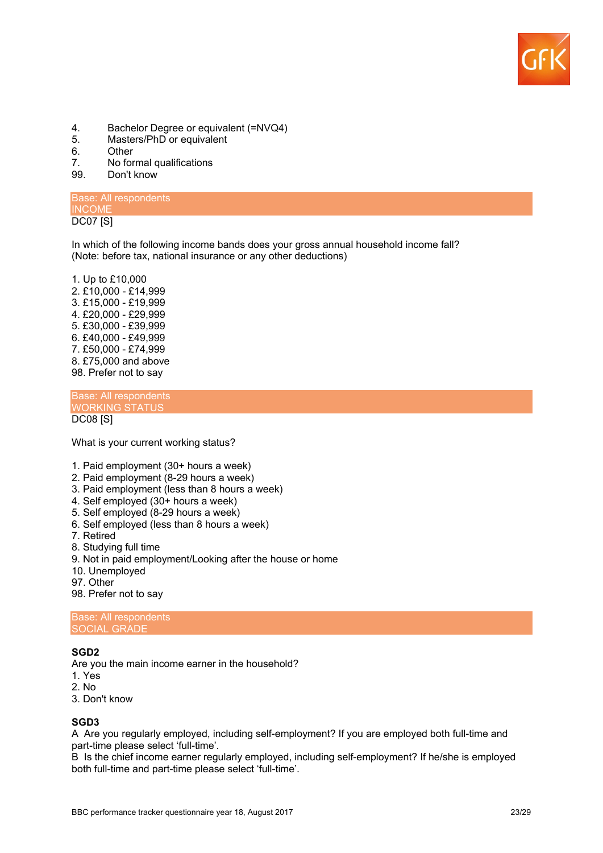

- 4. Bachelor Degree or equivalent (=NVQ4)<br>5. Masters/PhD or equivalent
- Masters/PhD or equivalent
- 6. Other<br>7 No.for

 $\overline{a}$ 

- 7. No formal qualifications<br>99. Don't know
- Don't know

#### Base: All respondents INCOME DC07 [S]

In which of the following income bands does your gross annual household income fall? (Note: before tax, national insurance or any other deductions)

1. Up to £10,000 2. £10,000 - £14,999 3. £15,000 - £19,999 4. £20,000 - £29,999 5. £30,000 - £39,999 6. £40,000 - £49,999 7. £50,000 - £74,999 8. £75,000 and above 98. Prefer not to say

Base: All respondents WORKING STATUS DC08 [S]

What is your current working status?

- 1. Paid employment (30+ hours a week)
- 2. Paid employment (8-29 hours a week)
- 3. Paid employment (less than 8 hours a week)
- 4. Self employed (30+ hours a week)
- 5. Self employed (8-29 hours a week)
- 6. Self employed (less than 8 hours a week)
- 7. Retired
- 8. Studying full time
- 9. Not in paid employment/Looking after the house or home
- 10. Unemployed
- 97. Other
- 98. Prefer not to say

Base: All respondents SOCIAL GRADE

## **SGD2**

Are you the main income earner in the household?

- 1. Yes
- 2. No
- 3. Don't know

## **SGD3**

A Are you regularly employed, including self-employment? If you are employed both full-time and part-time please select 'full-time'.

B Is the chief income earner regularly employed, including self-employment? If he/she is employed both full-time and part-time please select 'full-time'.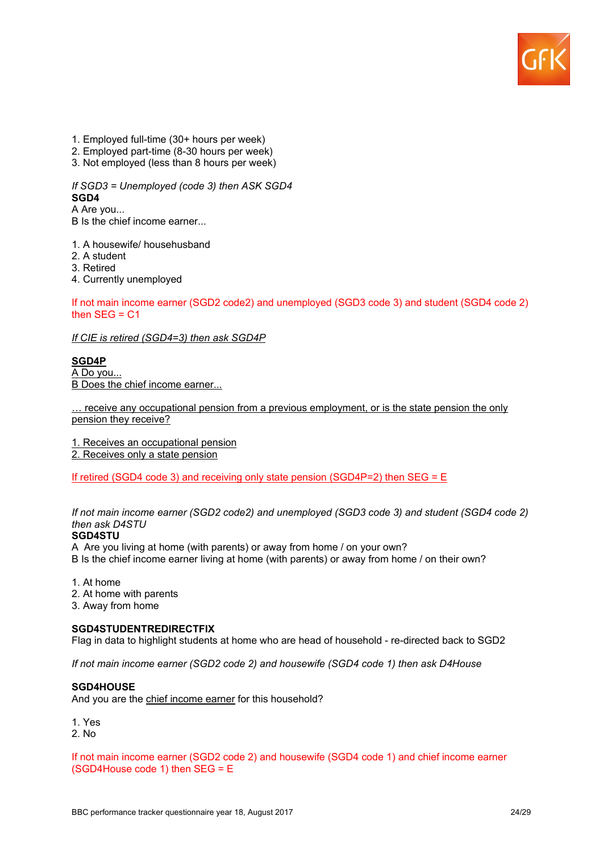

- 1. Employed full-time (30+ hours per week)
- 2. Employed part-time (8-30 hours per week)
- 3. Not employed (less than 8 hours per week)

*If SGD3 = Unemployed (code 3) then ASK SGD4* **SGD4**

A Are you...

B Is the chief income earner...

1. A housewife/ househusband

- 2. A student
- 3. Retired

4. Currently unemployed

If not main income earner (SGD2 code2) and unemployed (SGD3 code 3) and student (SGD4 code 2) then  $SEG = C1$ 

*If CIE is retired (SGD4=3) then ask SGD4P*

**SGD4P** A Do you...

B Does the chief income earner...

… receive any occupational pension from a previous employment, or is the state pension the only pension they receive?

1. Receives an occupational pension

2. Receives only a state pension

If retired (SGD4 code 3) and receiving only state pension (SGD4P=2) then SEG =  $E$ 

*If not main income earner (SGD2 code2) and unemployed (SGD3 code 3) and student (SGD4 code 2) then ask D4STU*

## **SGD4STU**

A Are you living at home (with parents) or away from home / on your own?

B Is the chief income earner living at home (with parents) or away from home / on their own?

1. At home

2. At home with parents

3. Away from home

## **SGD4STUDENTREDIRECTFIX**

Flag in data to highlight students at home who are head of household - re-directed back to SGD2

*If not main income earner (SGD2 code 2) and housewife (SGD4 code 1) then ask D4House*

#### **SGD4HOUSE**

And you are the chief income earner for this household?

1. Yes

2. No

If not main income earner (SGD2 code 2) and housewife (SGD4 code 1) and chief income earner (SGD4House code 1) then SEG = E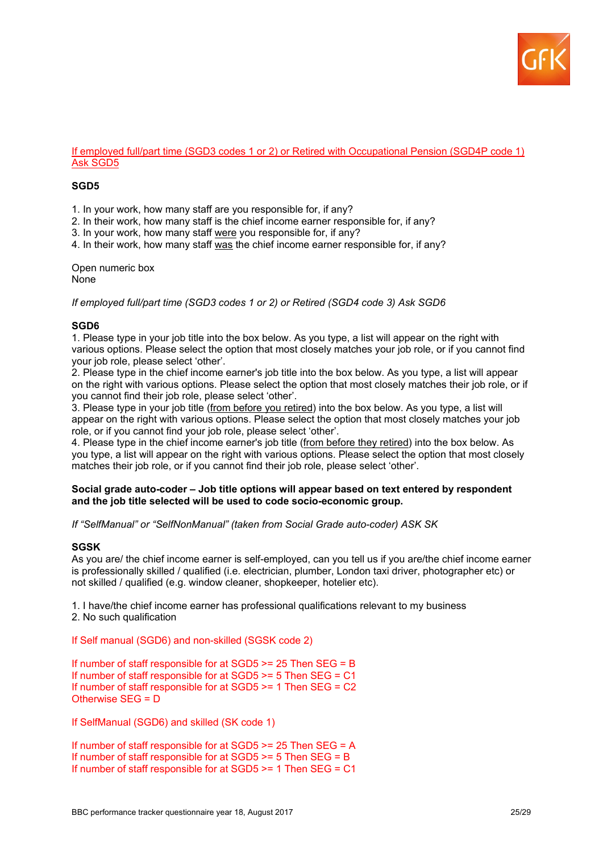

#### If employed full/part time (SGD3 codes 1 or 2) or Retired with Occupational Pension (SGD4P code 1) Ask SGD5

## **SGD5**

1. In your work, how many staff are you responsible for, if any?

2. In their work, how many staff is the chief income earner responsible for, if any?

3. In your work, how many staff were you responsible for, if any?

4. In their work, how many staff was the chief income earner responsible for, if any?

Open numeric box None

*If employed full/part time (SGD3 codes 1 or 2) or Retired (SGD4 code 3) Ask SGD6*

## **SGD6**

1. Please type in your job title into the box below. As you type, a list will appear on the right with various options. Please select the option that most closely matches your job role, or if you cannot find your job role, please select 'other'.

2. Please type in the chief income earner's job title into the box below. As you type, a list will appear on the right with various options. Please select the option that most closely matches their job role, or if you cannot find their job role, please select 'other'.

3. Please type in your job title (from before you retired) into the box below. As you type, a list will appear on the right with various options. Please select the option that most closely matches your job role, or if you cannot find your job role, please select 'other'.

4. Please type in the chief income earner's job title (from before they retired) into the box below. As you type, a list will appear on the right with various options. Please select the option that most closely matches their job role, or if you cannot find their job role, please select 'other'.

#### **Social grade auto-coder – Job title options will appear based on text entered by respondent and the job title selected will be used to code socio-economic group.**

*If "SelfManual" or "SelfNonManual" (taken from Social Grade auto-coder) ASK SK*

## **SGSK**

As you are/ the chief income earner is self-employed, can you tell us if you are/the chief income earner is professionally skilled / qualified (i.e. electrician, plumber, London taxi driver, photographer etc) or not skilled / qualified (e.g. window cleaner, shopkeeper, hotelier etc).

1. I have/the chief income earner has professional qualifications relevant to my business 2. No such qualification

If Self manual (SGD6) and non-skilled (SGSK code 2)

If number of staff responsible for at SGD5 >= 25 Then SEG = B If number of staff responsible for at SGD5 >= 5 Then SEG = C1 If number of staff responsible for at SGD5 >= 1 Then SEG = C2 Otherwise SEG = D

If SelfManual (SGD6) and skilled (SK code 1)

If number of staff responsible for at SGD5 >= 25 Then SEG = A If number of staff responsible for at SGD5 >= 5 Then SEG = B If number of staff responsible for at SGD5 >= 1 Then SEG = C1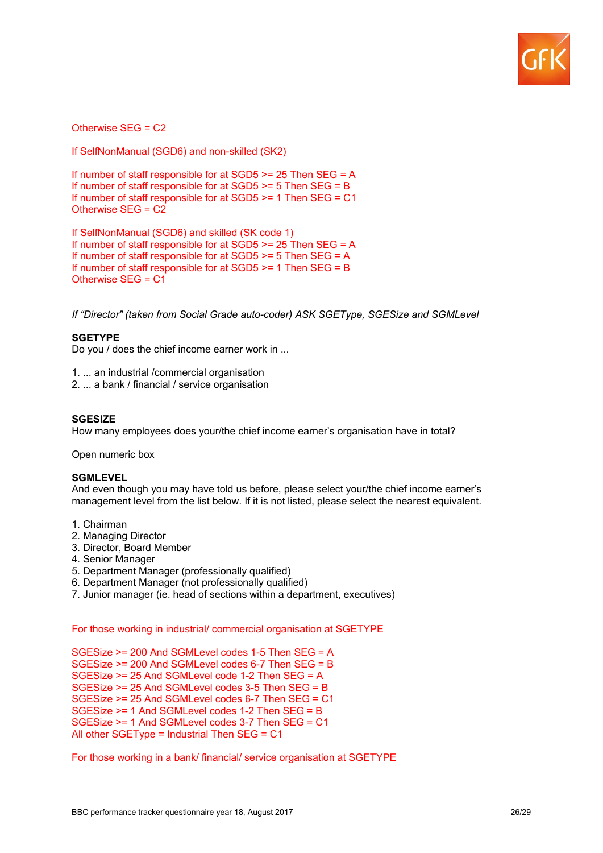

Otherwise SEG = C2

If SelfNonManual (SGD6) and non-skilled (SK2)

If number of staff responsible for at SGD5 >= 25 Then SEG = A If number of staff responsible for at  $SGD5 \ge 5$  Then  $SEG = B$ If number of staff responsible for at SGD5 >= 1 Then SEG = C1 Otherwise SEG = C2

If SelfNonManual (SGD6) and skilled (SK code 1) If number of staff responsible for at SGD5 >= 25 Then SEG = A If number of staff responsible for at SGD5 >= 5 Then SEG = A If number of staff responsible for at SGD5 >= 1 Then SEG = B Otherwise SEG = C1

*If "Director" (taken from Social Grade auto-coder) ASK SGEType, SGESize and SGMLevel*

## **SGETYPE**

Do you / does the chief income earner work in ...

1. ... an industrial /commercial organisation

2. ... a bank / financial / service organisation

## **SGESIZE**

How many employees does your/the chief income earner's organisation have in total?

Open numeric box

#### **SGMLEVEL**

And even though you may have told us before, please select your/the chief income earner's management level from the list below. If it is not listed, please select the nearest equivalent.

- 1. Chairman
- 2. Managing Director
- 3. Director, Board Member
- 4. Senior Manager
- 5. Department Manager (professionally qualified)
- 6. Department Manager (not professionally qualified)
- 7. Junior manager (ie. head of sections within a department, executives)

## For those working in industrial/ commercial organisation at SGETYPE

SGESize >= 200 And SGMLevel codes 1-5 Then SEG = A SGESize >= 200 And SGMLevel codes 6-7 Then SEG = B SGESize >= 25 And SGMLevel code 1-2 Then SEG = A SGESize >= 25 And SGMLevel codes 3-5 Then SEG = B SGESize >= 25 And SGMLevel codes 6-7 Then SEG = C1 SGESize >= 1 And SGMLevel codes 1-2 Then SEG = B SGESize >= 1 And SGMLevel codes 3-7 Then SEG = C1 All other SGEType = Industrial Then SEG = C1

For those working in a bank/ financial/ service organisation at SGETYPE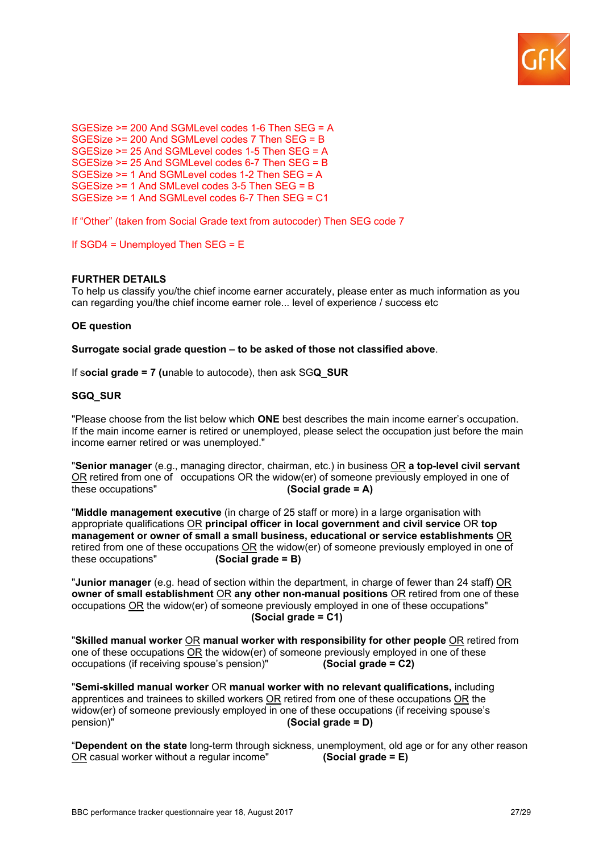

SGESize >= 200 And SGMLevel codes 1-6 Then SEG = A SGESize >= 200 And SGMLevel codes 7 Then SEG = B SGESize >= 25 And SGMLevel codes 1-5 Then SEG = A SGESize >= 25 And SGMLevel codes 6-7 Then SEG = B SGESize >= 1 And SGMLevel codes 1-2 Then SEG = A SGESize >= 1 And SMLevel codes 3-5 Then SEG = B SGESize >= 1 And SGMLevel codes 6-7 Then SEG = C1

If "Other" (taken from Social Grade text from autocoder) Then SEG code 7

If SGD4 = Unemployed Then SEG = E

## **FURTHER DETAILS**

To help us classify you/the chief income earner accurately, please enter as much information as you can regarding you/the chief income earner role... level of experience / success etc

## **OE question**

**Surrogate social grade question – to be asked of those not classified above**.

If s**ocial grade = 7 (u**nable to autocode), then ask SG**Q\_SUR**

## **SGQ\_SUR**

"Please choose from the list below which **ONE** best describes the main income earner's occupation. If the main income earner is retired or unemployed, please select the occupation just before the main income earner retired or was unemployed."

"**Senior manager** (e.g., managing director, chairman, etc.) in business OR **a top-level civil servant**  OR retired from one of occupations OR the widow(er) of someone previously employed in one of these occupations" **(Social grade = A)**

"**Middle management executive** (in charge of 25 staff or more) in a large organisation with appropriate qualifications OR **principal officer in local government and civil service** OR **top management or owner of small a small business, educational or service establishments** OR retired from one of these occupations OR the widow(er) of someone previously employed in one of these occupations" **(Social grade = B)**

"**Junior manager** (e.g. head of section within the department, in charge of fewer than 24 staff) OR **owner of small establishment** OR **any other non-manual positions** OR retired from one of these occupations OR the widow(er) of someone previously employed in one of these occupations" **(Social grade = C1)**

"**Skilled manual worker** OR **manual worker with responsibility for other people** OR retired from one of these occupations  $\underline{OR}$  the widow(er) of someone previously employed in one of these occupations (if receiving spouse's pension)" (Social grade = C2) occupations (if receiving spouse's pension)"

"**Semi-skilled manual worker** OR **manual worker with no relevant qualifications,** including apprentices and trainees to skilled workers OR retired from one of these occupations OR the widow(er) of someone previously employed in one of these occupations (if receiving spouse's pension)" **(Social grade = D)**

"**Dependent on the state** long-term through sickness, unemployment, old age or for any other reason OR casual worker without a regular income" **(Social grade = E)**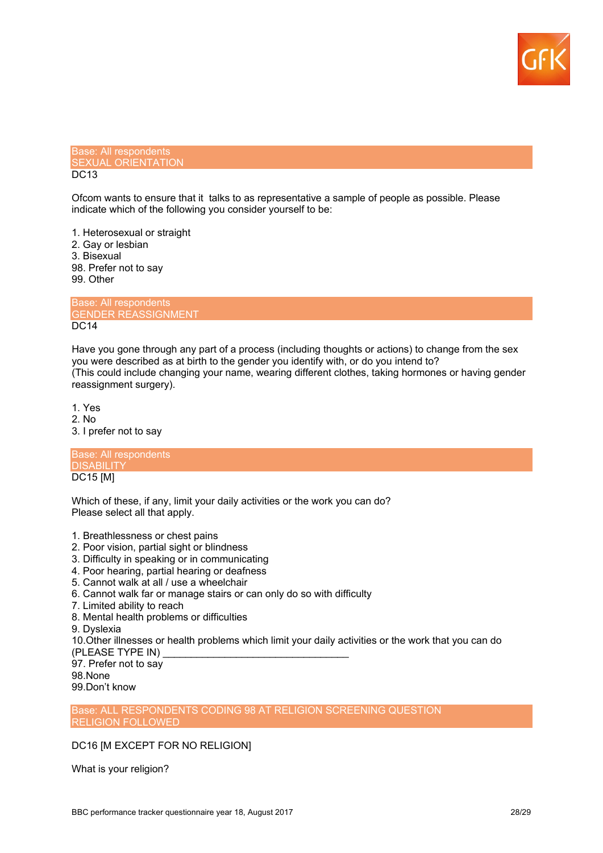

#### Base: All respondents SEXUAL ORIENTATION DC<sub>13</sub>

Ofcom wants to ensure that it talks to as representative a sample of people as possible. Please indicate which of the following you consider yourself to be:

1. Heterosexual or straight 2. Gay or lesbian 3. Bisexual 98. Prefer not to say 99. Other

Base: All respondents GENDER REASSIGNMENT DC14

Have you gone through any part of a process (including thoughts or actions) to change from the sex you were described as at birth to the gender you identify with, or do you intend to? (This could include changing your name, wearing different clothes, taking hormones or having gender reassignment surgery).

1. Yes

- 2. No
- 3. I prefer not to say

Base: All respondents **DISABILITY** DC15 [M]

Which of these, if any, limit your daily activities or the work you can do? Please select all that apply.

- 1. Breathlessness or chest pains
- 2. Poor vision, partial sight or blindness
- 3. Difficulty in speaking or in communicating
- 4. Poor hearing, partial hearing or deafness
- 5. Cannot walk at all / use a wheelchair
- 6. Cannot walk far or manage stairs or can only do so with difficulty
- 7. Limited ability to reach
- 8. Mental health problems or difficulties

9. Dyslexia

10.Other illnesses or health problems which limit your daily activities or the work that you can do

(PLEASE TYPE IN) 97. Prefer not to say

98.None

99.Don't know

Base: ALL RESPONDENTS CODING 98 AT RELIGION SCREENING QUESTION RELIGION FOLLOWED

## DC16 [M EXCEPT FOR NO RELIGION]

What is your religion?